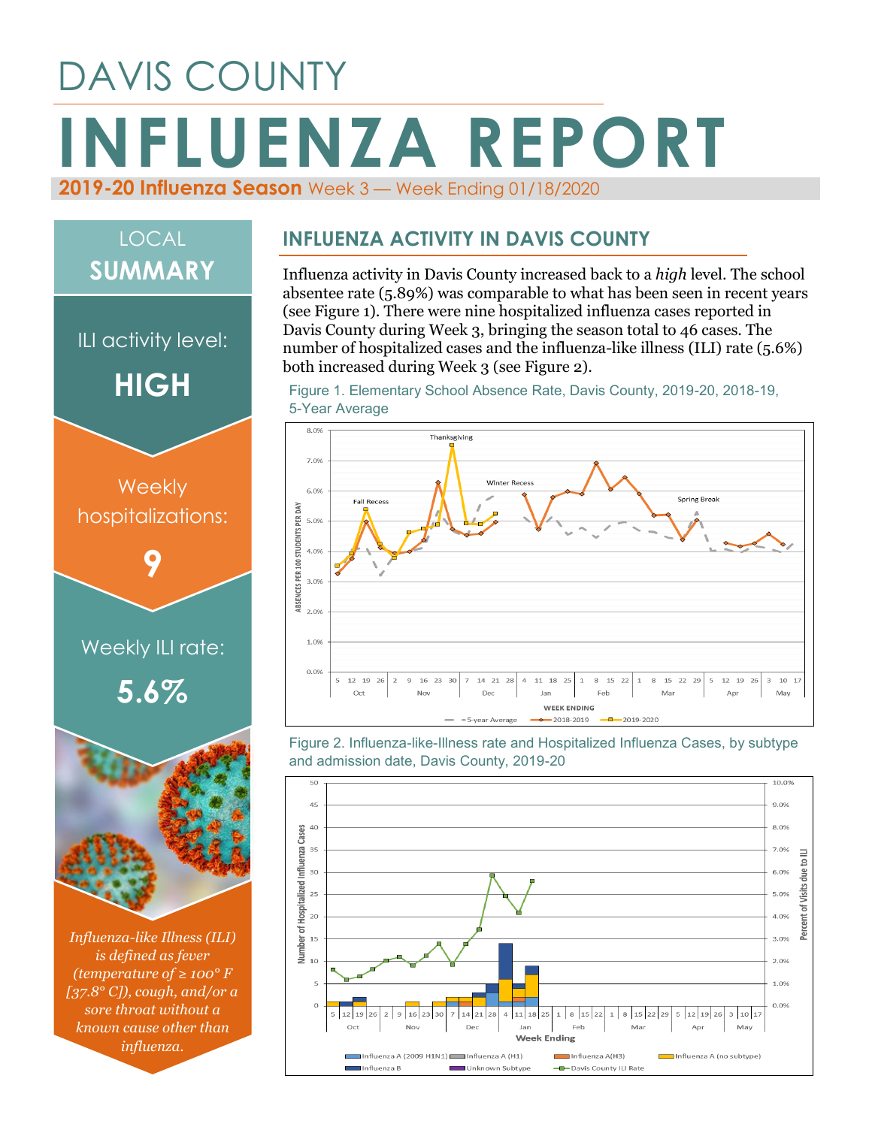# DAVIS COUNTY **INFLUENZA REPORT 2019-20 Influenza Season** Week 3 — Week Ending 01/18/2020



*(temperature of ≥ 100° F [37.8° C]), cough, and/or a sore throat without a known cause other than influenza.*

#### **INFLUENZA ACTIVITY IN DAVIS COUNTY**

Influenza activity in Davis County increased back to a *high* level. The school absentee rate (5.89%) was comparable to what has been seen in recent years (see Figure 1). There were nine hospitalized influenza cases reported in Davis County during Week 3, bringing the season total to 46 cases. The number of hospitalized cases and the influenza-like illness (ILI) rate (5.6%) both increased during Week 3 (see Figure 2).

Figure 1. Elementary School Absence Rate, Davis County, 2019-20, 2018-19, 5-Year Average



Figure 2. Influenza-like-Illness rate and Hospitalized Influenza Cases, by subtype and admission date, Davis County, 2019-20